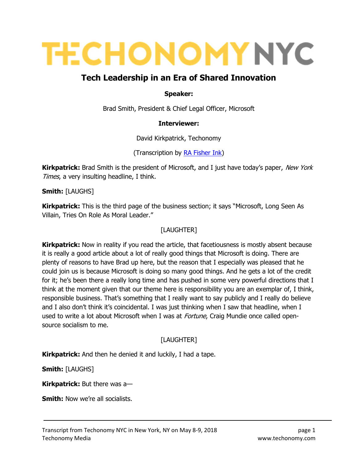# **TECHONOMY NYC**

# Tech Leadership in an Era of Shared Innovation

#### Speaker:

Brad Smith, President & Chief Legal Officer, Microsoft

#### Interviewer:

David Kirkpatrick, Techonomy

(Transcription by RA Fisher Ink)

**Kirkpatrick:** Brad Smith is the president of Microsoft, and I just have today's paper, New York Times, a very insulting headline, I think.

Smith: [LAUGHS]

**Kirkpatrick:** This is the third page of the business section; it says "Microsoft, Long Seen As Villain, Tries On Role As Moral Leader."

#### [LAUGHTER]

**Kirkpatrick:** Now in reality if you read the article, that facetiousness is mostly absent because it is really a good article about a lot of really good things that Microsoft is doing. There are plenty of reasons to have Brad up here, but the reason that I especially was pleased that he could join us is because Microsoft is doing so many good things. And he gets a lot of the credit for it; he's been there a really long time and has pushed in some very powerful directions that I think at the moment given that our theme here is responsibility you are an exemplar of, I think, responsible business. That's something that I really want to say publicly and I really do believe and I also don't think it's coincidental. I was just thinking when I saw that headline, when I used to write a lot about Microsoft when I was at *Fortune*, Craig Mundie once called opensource socialism to me.

## [LAUGHTER]

**Kirkpatrick:** And then he denied it and luckily, I had a tape.

Smith: [LAUGHS]

Kirkpatrick: But there was a-

**Smith:** Now we're all socialists.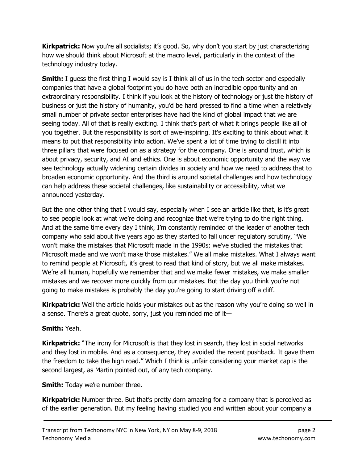**Kirkpatrick:** Now you're all socialists; it's good. So, why don't you start by just characterizing how we should think about Microsoft at the macro level, particularly in the context of the technology industry today.

**Smith:** I guess the first thing I would say is I think all of us in the tech sector and especially companies that have a global footprint you do have both an incredible opportunity and an extraordinary responsibility. I think if you look at the history of technology or just the history of business or just the history of humanity, you'd be hard pressed to find a time when a relatively small number of private sector enterprises have had the kind of global impact that we are seeing today. All of that is really exciting. I think that's part of what it brings people like all of you together. But the responsibility is sort of awe-inspiring. It's exciting to think about what it means to put that responsibility into action. We've spent a lot of time trying to distill it into three pillars that were focused on as a strategy for the company. One is around trust, which is about privacy, security, and AI and ethics. One is about economic opportunity and the way we see technology actually widening certain divides in society and how we need to address that to broaden economic opportunity. And the third is around societal challenges and how technology can help address these societal challenges, like sustainability or accessibility, what we announced yesterday.

But the one other thing that I would say, especially when I see an article like that, is it's great to see people look at what we're doing and recognize that we're trying to do the right thing. And at the same time every day I think, I'm constantly reminded of the leader of another tech company who said about five years ago as they started to fall under regulatory scrutiny, "We won't make the mistakes that Microsoft made in the 1990s; we've studied the mistakes that Microsoft made and we won't make those mistakes." We all make mistakes. What I always want to remind people at Microsoft, it's great to read that kind of story, but we all make mistakes. We're all human, hopefully we remember that and we make fewer mistakes, we make smaller mistakes and we recover more quickly from our mistakes. But the day you think you're not going to make mistakes is probably the day you're going to start driving off a cliff.

**Kirkpatrick:** Well the article holds your mistakes out as the reason why you're doing so well in a sense. There's a great quote, sorry, just you reminded me of it—

#### Smith: Yeah.

Kirkpatrick: "The irony for Microsoft is that they lost in search, they lost in social networks and they lost in mobile. And as a consequence, they avoided the recent pushback. It gave them the freedom to take the high road." Which I think is unfair considering your market cap is the second largest, as Martin pointed out, of any tech company.

#### **Smith:** Today we're number three.

**Kirkpatrick:** Number three. But that's pretty darn amazing for a company that is perceived as of the earlier generation. But my feeling having studied you and written about your company a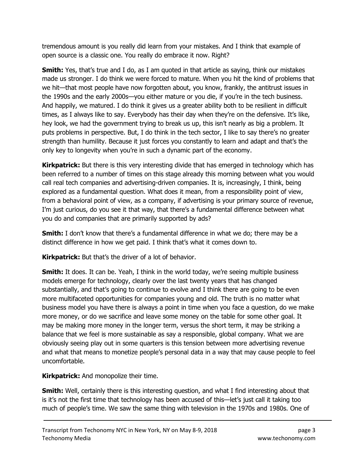tremendous amount is you really did learn from your mistakes. And I think that example of open source is a classic one. You really do embrace it now. Right?

**Smith:** Yes, that's true and I do, as I am quoted in that article as saying, think our mistakes made us stronger. I do think we were forced to mature. When you hit the kind of problems that we hit—that most people have now forgotten about, you know, frankly, the antitrust issues in the 1990s and the early 2000s—you either mature or you die, if you're in the tech business. And happily, we matured. I do think it gives us a greater ability both to be resilient in difficult times, as I always like to say. Everybody has their day when they're on the defensive. It's like, hey look, we had the government trying to break us up, this isn't nearly as big a problem. It puts problems in perspective. But, I do think in the tech sector, I like to say there's no greater strength than humility. Because it just forces you constantly to learn and adapt and that's the only key to longevity when you're in such a dynamic part of the economy.

**Kirkpatrick:** But there is this very interesting divide that has emerged in technology which has been referred to a number of times on this stage already this morning between what you would call real tech companies and advertising-driven companies. It is, increasingly, I think, being explored as a fundamental question. What does it mean, from a responsibility point of view, from a behavioral point of view, as a company, if advertising is your primary source of revenue, I'm just curious, do you see it that way, that there's a fundamental difference between what you do and companies that are primarily supported by ads?

**Smith:** I don't know that there's a fundamental difference in what we do; there may be a distinct difference in how we get paid. I think that's what it comes down to.

Kirkpatrick: But that's the driver of a lot of behavior.

**Smith:** It does. It can be. Yeah, I think in the world today, we're seeing multiple business models emerge for technology, clearly over the last twenty years that has changed substantially, and that's going to continue to evolve and I think there are going to be even more multifaceted opportunities for companies young and old. The truth is no matter what business model you have there is always a point in time when you face a question, do we make more money, or do we sacrifice and leave some money on the table for some other goal. It may be making more money in the longer term, versus the short term, it may be striking a balance that we feel is more sustainable as say a responsible, global company. What we are obviously seeing play out in some quarters is this tension between more advertising revenue and what that means to monetize people's personal data in a way that may cause people to feel uncomfortable.

**Kirkpatrick:** And monopolize their time.

**Smith:** Well, certainly there is this interesting question, and what I find interesting about that is it's not the first time that technology has been accused of this—let's just call it taking too much of people's time. We saw the same thing with television in the 1970s and 1980s. One of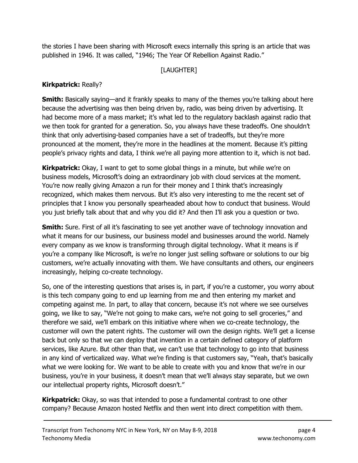the stories I have been sharing with Microsoft execs internally this spring is an article that was published in 1946. It was called, "1946; The Year Of Rebellion Against Radio."

## [LAUGHTER]

## Kirkpatrick: Really?

**Smith:** Basically saying—and it frankly speaks to many of the themes you're talking about here because the advertising was then being driven by, radio, was being driven by advertising. It had become more of a mass market; it's what led to the regulatory backlash against radio that we then took for granted for a generation. So, you always have these tradeoffs. One shouldn't think that only advertising-based companies have a set of tradeoffs, but they're more pronounced at the moment, they're more in the headlines at the moment. Because it's pitting people's privacy rights and data, I think we're all paying more attention to it, which is not bad.

**Kirkpatrick:** Okay, I want to get to some global things in a minute, but while we're on business models, Microsoft's doing an extraordinary job with cloud services at the moment. You're now really giving Amazon a run for their money and I think that's increasingly recognized, which makes them nervous. But it's also very interesting to me the recent set of principles that I know you personally spearheaded about how to conduct that business. Would you just briefly talk about that and why you did it? And then I'll ask you a question or two.

Smith: Sure. First of all it's fascinating to see yet another wave of technology innovation and what it means for our business, our business model and businesses around the world. Namely every company as we know is transforming through digital technology. What it means is if you're a company like Microsoft, is we're no longer just selling software or solutions to our big customers, we're actually innovating with them. We have consultants and others, our engineers increasingly, helping co-create technology.

So, one of the interesting questions that arises is, in part, if you're a customer, you worry about is this tech company going to end up learning from me and then entering my market and competing against me. In part, to allay that concern, because it's not where we see ourselves going, we like to say, "We're not going to make cars, we're not going to sell groceries," and therefore we said, we'll embark on this initiative where when we co-create technology, the customer will own the patent rights. The customer will own the design rights. We'll get a license back but only so that we can deploy that invention in a certain defined category of platform services, like Azure. But other than that, we can't use that technology to go into that business in any kind of verticalized way. What we're finding is that customers say, "Yeah, that's basically what we were looking for. We want to be able to create with you and know that we're in our business, you're in your business, it doesn't mean that we'll always stay separate, but we own our intellectual property rights, Microsoft doesn't."

**Kirkpatrick:** Okay, so was that intended to pose a fundamental contrast to one other company? Because Amazon hosted Netflix and then went into direct competition with them.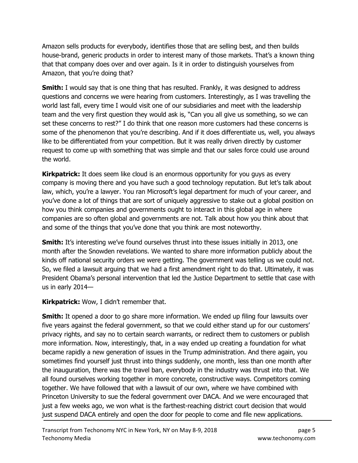Amazon sells products for everybody, identifies those that are selling best, and then builds house-brand, generic products in order to interest many of those markets. That's a known thing that that company does over and over again. Is it in order to distinguish yourselves from Amazon, that you're doing that?

**Smith:** I would say that is one thing that has resulted. Frankly, it was designed to address questions and concerns we were hearing from customers. Interestingly, as I was travelling the world last fall, every time I would visit one of our subsidiaries and meet with the leadership team and the very first question they would ask is, "Can you all give us something, so we can set these concerns to rest?" I do think that one reason more customers had these concerns is some of the phenomenon that you're describing. And if it does differentiate us, well, you always like to be differentiated from your competition. But it was really driven directly by customer request to come up with something that was simple and that our sales force could use around the world.

**Kirkpatrick:** It does seem like cloud is an enormous opportunity for you guys as every company is moving there and you have such a good technology reputation. But let's talk about law, which, you're a lawyer. You ran Microsoft's legal department for much of your career, and you've done a lot of things that are sort of uniquely aggressive to stake out a global position on how you think companies and governments ought to interact in this global age in where companies are so often global and governments are not. Talk about how you think about that and some of the things that you've done that you think are most noteworthy.

**Smith:** It's interesting we've found ourselves thrust into these issues initially in 2013, one month after the Snowden revelations. We wanted to share more information publicly about the kinds off national security orders we were getting. The government was telling us we could not. So, we filed a lawsuit arguing that we had a first amendment right to do that. Ultimately, it was President Obama's personal intervention that led the Justice Department to settle that case with us in early 2014—

Kirkpatrick: Wow, I didn't remember that.

**Smith:** It opened a door to go share more information. We ended up filing four lawsuits over five years against the federal government, so that we could either stand up for our customers' privacy rights, and say no to certain search warrants, or redirect them to customers or publish more information. Now, interestingly, that, in a way ended up creating a foundation for what became rapidly a new generation of issues in the Trump administration. And there again, you sometimes find yourself just thrust into things suddenly, one month, less than one month after the inauguration, there was the travel ban, everybody in the industry was thrust into that. We all found ourselves working together in more concrete, constructive ways. Competitors coming together. We have followed that with a lawsuit of our own, where we have combined with Princeton University to sue the federal government over DACA. And we were encouraged that just a few weeks ago, we won what is the farthest-reaching district court decision that would just suspend DACA entirely and open the door for people to come and file new applications.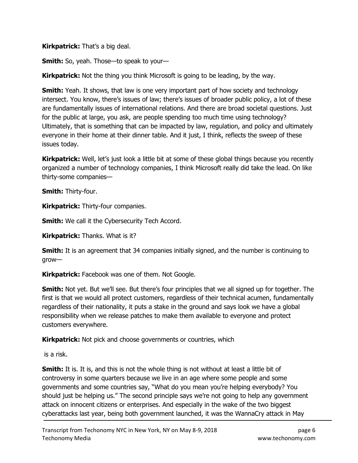**Kirkpatrick:** That's a big deal.

Smith: So, yeah. Those—to speak to your—

**Kirkpatrick:** Not the thing you think Microsoft is going to be leading, by the way.

**Smith:** Yeah. It shows, that law is one very important part of how society and technology intersect. You know, there's issues of law; there's issues of broader public policy, a lot of these are fundamentally issues of international relations. And there are broad societal questions. Just for the public at large, you ask, are people spending too much time using technology? Ultimately, that is something that can be impacted by law, regulation, and policy and ultimately everyone in their home at their dinner table. And it just, I think, reflects the sweep of these issues today.

**Kirkpatrick:** Well, let's just look a little bit at some of these global things because you recently organized a number of technology companies, I think Microsoft really did take the lead. On like thirty-some companies—

Smith: Thirty-four.

**Kirkpatrick: Thirty-four companies.** 

**Smith:** We call it the Cybersecurity Tech Accord.

**Kirkpatrick:** Thanks. What is it?

**Smith:** It is an agreement that 34 companies initially signed, and the number is continuing to grow—

**Kirkpatrick:** Facebook was one of them. Not Google.

Smith: Not yet. But we'll see. But there's four principles that we all signed up for together. The first is that we would all protect customers, regardless of their technical acumen, fundamentally regardless of their nationality, it puts a stake in the ground and says look we have a global responsibility when we release patches to make them available to everyone and protect customers everywhere.

**Kirkpatrick:** Not pick and choose governments or countries, which

is a risk.

**Smith:** It is. It is, and this is not the whole thing is not without at least a little bit of controversy in some quarters because we live in an age where some people and some governments and some countries say, "What do you mean you're helping everybody? You should just be helping us." The second principle says we're not going to help any government attack on innocent citizens or enterprises. And especially in the wake of the two biggest cyberattacks last year, being both government launched, it was the WannaCry attack in May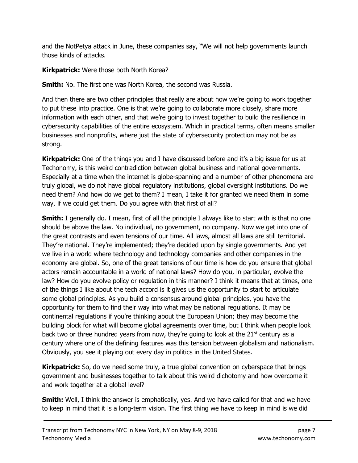and the NotPetya attack in June, these companies say, "We will not help governments launch those kinds of attacks.

Kirkpatrick: Were those both North Korea?

**Smith:** No. The first one was North Korea, the second was Russia.

And then there are two other principles that really are about how we're going to work together to put these into practice. One is that we're going to collaborate more closely, share more information with each other, and that we're going to invest together to build the resilience in cybersecurity capabilities of the entire ecosystem. Which in practical terms, often means smaller businesses and nonprofits, where just the state of cybersecurity protection may not be as strong.

Kirkpatrick: One of the things you and I have discussed before and it's a big issue for us at Techonomy, is this weird contradiction between global business and national governments. Especially at a time when the internet is globe-spanning and a number of other phenomena are truly global, we do not have global regulatory institutions, global oversight institutions. Do we need them? And how do we get to them? I mean, I take it for granted we need them in some way, if we could get them. Do you agree with that first of all?

**Smith:** I generally do. I mean, first of all the principle I always like to start with is that no one should be above the law. No individual, no government, no company. Now we get into one of the great contrasts and even tensions of our time. All laws, almost all laws are still territorial. They're national. They're implemented; they're decided upon by single governments. And yet we live in a world where technology and technology companies and other companies in the economy are global. So, one of the great tensions of our time is how do you ensure that global actors remain accountable in a world of national laws? How do you, in particular, evolve the law? How do you evolve policy or regulation in this manner? I think it means that at times, one of the things I like about the tech accord is it gives us the opportunity to start to articulate some global principles. As you build a consensus around global principles, you have the opportunity for them to find their way into what may be national regulations. It may be continental regulations if you're thinking about the European Union; they may become the building block for what will become global agreements over time, but I think when people look back two or three hundred years from now, they're going to look at the  $21<sup>st</sup>$  century as a century where one of the defining features was this tension between globalism and nationalism. Obviously, you see it playing out every day in politics in the United States.

**Kirkpatrick:** So, do we need some truly, a true global convention on cyberspace that brings government and businesses together to talk about this weird dichotomy and how overcome it and work together at a global level?

Smith: Well, I think the answer is emphatically, yes. And we have called for that and we have to keep in mind that it is a long-term vision. The first thing we have to keep in mind is we did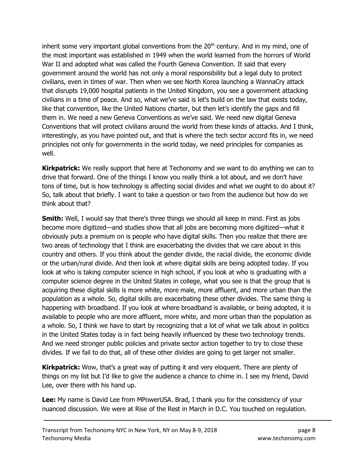inherit some very important global conventions from the  $20<sup>th</sup>$  century. And in my mind, one of the most important was established in 1949 when the world learned from the horrors of World War II and adopted what was called the Fourth Geneva Convention. It said that every government around the world has not only a moral responsibility but a legal duty to protect civilians, even in times of war. Then when we see North Korea launching a WannaCry attack that disrupts 19,000 hospital patients in the United Kingdom, you see a government attacking civilians in a time of peace. And so, what we've said is let's build on the law that exists today, like that convention, like the United Nations charter, but then let's identify the gaps and fill them in. We need a new Geneva Conventions as we've said. We need new digital Geneva Conventions that will protect civilians around the world from these kinds of attacks. And I think, interestingly, as you have pointed out, and that is where the tech sector accord fits in, we need principles not only for governments in the world today, we need principles for companies as well.

**Kirkpatrick:** We really support that here at Techonomy and we want to do anything we can to drive that forward. One of the things I know you really think a lot about, and we don't have tons of time, but is how technology is affecting social divides and what we ought to do about it? So, talk about that briefly. I want to take a question or two from the audience but how do we think about that?

**Smith:** Well, I would say that there's three things we should all keep in mind. First as jobs become more digitized—and studies show that all jobs are becoming more digitized—what it obviously puts a premium on is people who have digital skills. Then you realize that there are two areas of technology that I think are exacerbating the divides that we care about in this country and others. If you think about the gender divide, the racial divide, the economic divide or the urban/rural divide. And then look at where digital skills are being adopted today. If you look at who is taking computer science in high school, if you look at who is graduating with a computer science degree in the United States in college, what you see is that the group that is acquiring these digital skills is more white, more male, more affluent, and more urban than the population as a whole. So, digital skills are exacerbating these other divides. The same thing is happening with broadband. If you look at where broadband is available, or being adopted, it is available to people who are more affluent, more white, and more urban than the population as a whole. So, I think we have to start by recognizing that a lot of what we talk about in politics in the United States today is in fact being heavily influenced by these two technology trends. And we need stronger public policies and private sector action together to try to close these divides. If we fail to do that, all of these other divides are going to get larger not smaller.

**Kirkpatrick:** Wow, that's a great way of putting it and very eloquent. There are plenty of things on my list but I'd like to give the audience a chance to chime in. I see my friend, David Lee, over there with his hand up.

Lee: My name is David Lee from MPowerUSA. Brad, I thank you for the consistency of your nuanced discussion. We were at Rise of the Rest in March in D.C. You touched on regulation.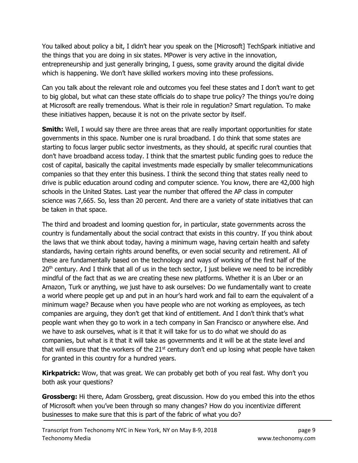You talked about policy a bit, I didn't hear you speak on the [Microsoft] TechSpark initiative and the things that you are doing in six states. MPower is very active in the innovation, entrepreneurship and just generally bringing, I guess, some gravity around the digital divide which is happening. We don't have skilled workers moving into these professions.

Can you talk about the relevant role and outcomes you feel these states and I don't want to get to big global, but what can these state officials do to shape true policy? The things you're doing at Microsoft are really tremendous. What is their role in regulation? Smart regulation. To make these initiatives happen, because it is not on the private sector by itself.

**Smith:** Well, I would say there are three areas that are really important opportunities for state governments in this space. Number one is rural broadband. I do think that some states are starting to focus larger public sector investments, as they should, at specific rural counties that don't have broadband access today. I think that the smartest public funding goes to reduce the cost of capital, basically the capital investments made especially by smaller telecommunications companies so that they enter this business. I think the second thing that states really need to drive is public education around coding and computer science. You know, there are 42,000 high schools in the United States. Last year the number that offered the AP class in computer science was 7,665. So, less than 20 percent. And there are a variety of state initiatives that can be taken in that space.

The third and broadest and looming question for, in particular, state governments across the country is fundamentally about the social contract that exists in this country. If you think about the laws that we think about today, having a minimum wage, having certain health and safety standards, having certain rights around benefits, or even social security and retirement. All of these are fundamentally based on the technology and ways of working of the first half of the  $20<sup>th</sup>$  century. And I think that all of us in the tech sector, I just believe we need to be incredibly mindful of the fact that as we are creating these new platforms. Whether it is an Uber or an Amazon, Turk or anything, we just have to ask ourselves: Do we fundamentally want to create a world where people get up and put in an hour's hard work and fail to earn the equivalent of a minimum wage? Because when you have people who are not working as employees, as tech companies are arguing, they don't get that kind of entitlement. And I don't think that's what people want when they go to work in a tech company in San Francisco or anywhere else. And we have to ask ourselves, what is it that it will take for us to do what we should do as companies, but what is it that it will take as governments and it will be at the state level and that will ensure that the workers of the  $21^{st}$  century don't end up losing what people have taken for granted in this country for a hundred years.

**Kirkpatrick:** Wow, that was great. We can probably get both of you real fast. Why don't you both ask your questions?

**Grossberg:** Hi there, Adam Grossberg, great discussion. How do you embed this into the ethos of Microsoft when you've been through so many changes? How do you incentivize different businesses to make sure that this is part of the fabric of what you do?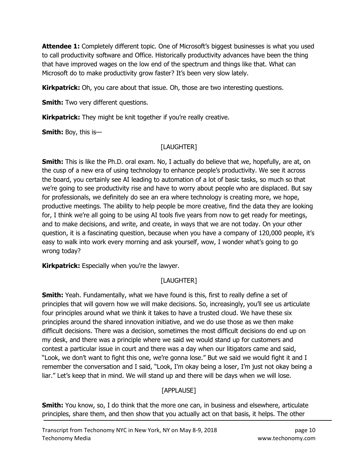**Attendee 1:** Completely different topic. One of Microsoft's biggest businesses is what you used to call productivity software and Office. Historically productivity advances have been the thing that have improved wages on the low end of the spectrum and things like that. What can Microsoft do to make productivity grow faster? It's been very slow lately.

**Kirkpatrick:** Oh, you care about that issue. Oh, those are two interesting questions.

**Smith:** Two very different questions.

**Kirkpatrick:** They might be knit together if you're really creative.

**Smith:** Boy, this is-

## [LAUGHTER]

**Smith:** This is like the Ph.D. oral exam. No, I actually do believe that we, hopefully, are at, on the cusp of a new era of using technology to enhance people's productivity. We see it across the board, you certainly see AI leading to automation of a lot of basic tasks, so much so that we're going to see productivity rise and have to worry about people who are displaced. But say for professionals, we definitely do see an era where technology is creating more, we hope, productive meetings. The ability to help people be more creative, find the data they are looking for, I think we're all going to be using AI tools five years from now to get ready for meetings, and to make decisions, and write, and create, in ways that we are not today. On your other question, it is a fascinating question, because when you have a company of 120,000 people, it's easy to walk into work every morning and ask yourself, wow, I wonder what's going to go wrong today?

**Kirkpatrick:** Especially when you're the lawyer.

## [LAUGHTER]

**Smith:** Yeah. Fundamentally, what we have found is this, first to really define a set of principles that will govern how we will make decisions. So, increasingly, you'll see us articulate four principles around what we think it takes to have a trusted cloud. We have these six principles around the shared innovation initiative, and we do use those as we then make difficult decisions. There was a decision, sometimes the most difficult decisions do end up on my desk, and there was a principle where we said we would stand up for customers and contest a particular issue in court and there was a day when our litigators came and said, "Look, we don't want to fight this one, we're gonna lose." But we said we would fight it and I remember the conversation and I said, "Look, I'm okay being a loser, I'm just not okay being a liar." Let's keep that in mind. We will stand up and there will be days when we will lose.

## [APPLAUSE]

**Smith:** You know, so, I do think that the more one can, in business and elsewhere, articulate principles, share them, and then show that you actually act on that basis, it helps. The other